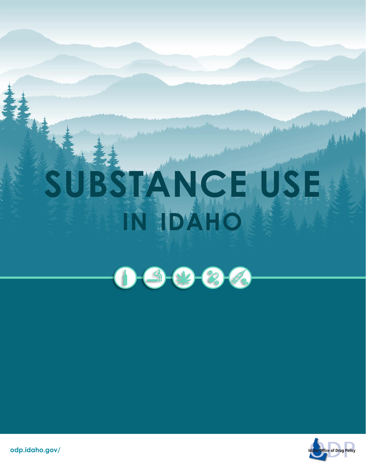# **SUBSTANCE USE IN IDAHO**

 $0 - 9 - 8 - 6$ 



Assembly Assem

**odp.idaho.gov/**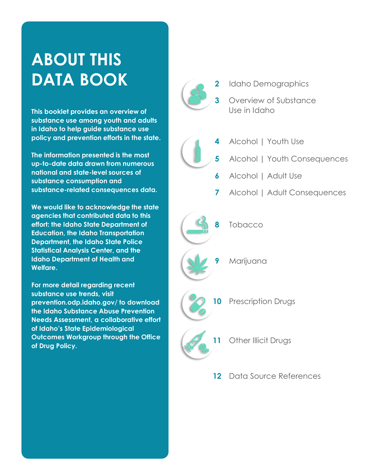## **ABOUT THIS DATA BOOK**

**This booklet provides an overview of substance use among youth and adults in Idaho to help guide substance use policy and prevention efforts in the state.**

**The information presented is the most up-to-date data drawn from numerous national and state-level sources of substance consumption and substance-related consequences data.** 

**We would like to acknowledge the state agencies that contributed data to this effort: the Idaho State Department of Education, the Idaho Transportation Department, the Idaho State Police Statistical Analysis Center, and the Idaho Department of Health and Welfare.**

**For more detail regarding recent substance use trends, visit prevention.odp.idaho.gov/ to download the Idaho Substance Abuse Prevention Needs Assessment, a collaborative effort of Idaho's State Epidemiological Outcomes Workgroup through the Office of Drug Policy.**



- **2** [Idaho Demographics](#page-2-0)
	- **3** [Overview of Substance](#page-3-0)  Use in Idaho



- **4** [Alcohol | Youth Use](#page-4-0)
- **5** [Alcohol | Youth Consequences](#page-5-0)
	- **6** [Alcohol | Adult Use](#page-6-0)
	- **7** [Alcohol | Adult Consequences](#page-7-0)



**10** [Prescription Drugs](#page-10-0)

- 11 [Other Illicit Drugs](#page-11-0)
- **12** [Data Source References](#page-12-0)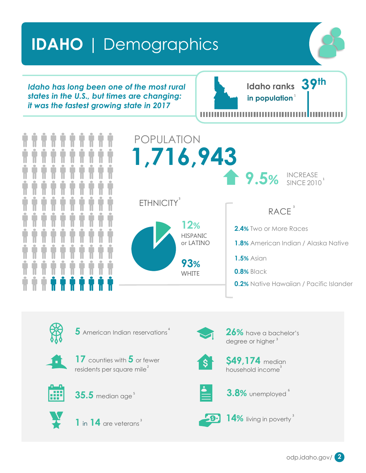### <span id="page-2-0"></span>**IDAHO** | Demographics .

*Idaho has long been one of the most rural states in the U.S., but times are changing: it was the fastest growing state in 2017*

**Idaho ranks 39th in population**<sup>1</sup>



POPULATION **1,716,943 2.4%** Two or More Races **1.8%** American Indian / Alaska Native **1.5%** Asian RACE<sup>3</sup> **9.5% INCREASE** SINCE 2010 **12%** HISPANIC or LATINO **93%** ETHNICITY<sup>3</sup> 1

5 American Indian reservations<sup>4</sup> 26% have a bachelor's



**17** counties with **5** or fewer residents per square mile $^{\text{2}}$ 



**35.5** median age<sup>5</sup> and **3.8%** unemployed



**1** in **14** are veterans<sup>3</sup> and **14%** living in poverty 3



**WHITE** 

degree or higher<sup>3</sup>

**0.2%** Native Hawaiian / Pacific Islander

**0.8%** Black



**\$49,174** median household income<sup>3</sup>



3.8% unemployed



14% living in poverty<sup>3</sup>

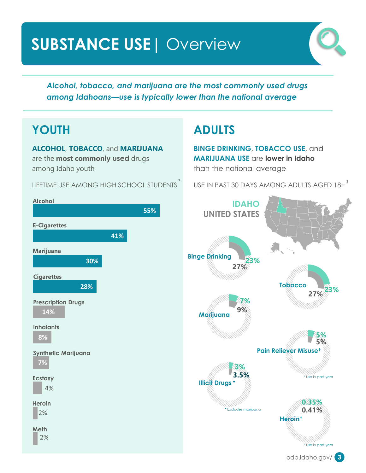### <span id="page-3-0"></span>**SUBSTANCE USE**| Overview .



*Alcohol, tobacco, and marijuana are the most commonly used drugs among Idahoans—use is typically lower than the national average*

### **YOUTH**

**ALCOHOL**, **TOBACCO**, and **MARIJUANA** are the **most commonly used** drugs among Idaho youth

LIFETIME USE AMONG HIGH SCHOOL STUDENTS  $^{7}$ 

### **ADULTS**

**BINGE DRINKING**, **TOBACCO USE**, and **MARIJUANA USE** are **lower in Idaho**  than the national average

USE IN PAST 30 DAYS AMONG ADULTS AGED 18+

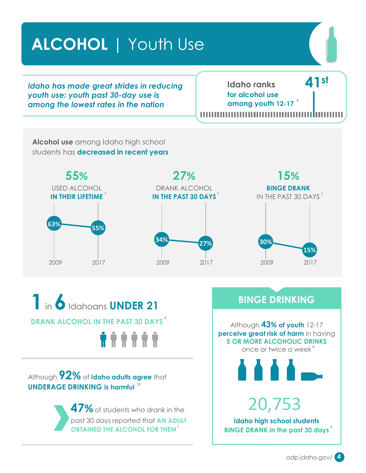<span id="page-4-0"></span>**ALCOHOL** | Youth Use .

*Idaho has made great strides in reducing youth use: youth past 30-day use is among the lowest rates in the nation*

**Idaho ranks 41st for alcohol use among youth 12-17** 8

**Alcohol use** among Idaho high school students has **decreased in recent years**







**1**in **6**Idahoans **UNDER 21 DRANK ALCOHOL IN THE PAST 30 DAYS ......** 

Although **92%** of **Idaho adults agree** that **UNDERAGE DRINKING is harmful**  10

> **47%**of students who drank in the past 30 days reported that **AN ADULT OBTAINED THE ALCOHOL FOR THEM** 7

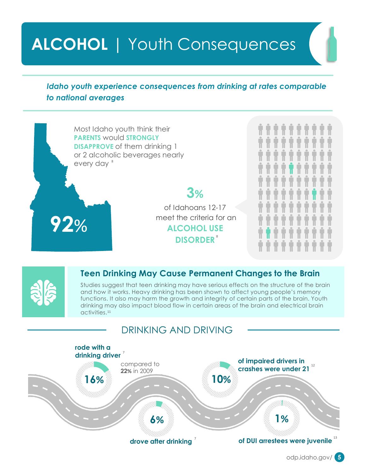## <span id="page-5-0"></span>**ALCOHOL** | Youth Consequences .

#### *Idaho youth experience consequences from drinking at rates comparable to national averages*

Most Idaho youth think their **PARENTS** would **STRONGLY DISAPPROVE** of them drinking 1 or 2 alcoholic beverages nearly every day 8

> of Idahoans 12-17 meet the criteria for an **ALCOHOL USE DISORDER** 8

**3%**



**92**%

#### **Teen Drinking May Cause Permanent Changes to the Brain**

Studies suggest that teen drinking may have serious effects on the structure of the brain and how it works. Heavy drinking has been shown to affect young people's memory functions. It also may harm the growth and integrity of certain parts of the brain. Youth drinking may also impact blood flow in certain areas of the brain and electrical brain activities. 11

### DRINKING AND DRIVING

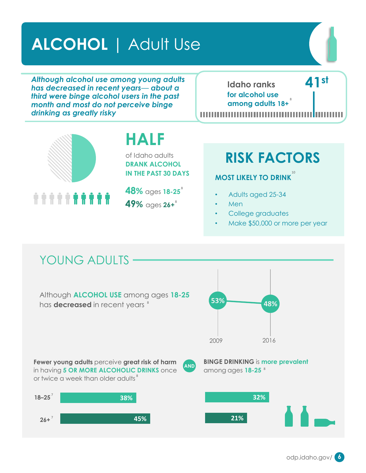### <span id="page-6-0"></span>**ALCOHOL** | Adult Use .

*Although alcohol use among young adults has decreased in recent years— about a third were binge alcohol users in the past month and most do not perceive binge drinking as greatly risky*

**Idaho ranks 41st for alcohol use among adults 18+** 8



### **HALF**

of Idaho adults **DRANK ALCOHOL IN THE PAST 30 DAYS**

\*\*\*\*\***\*\*\*\*\*** 



### **RISK FACTORS**

#### **MOST LIKELY TO DRINK** 10

- Adults aged 25-34
- Men
- College graduates
- Make \$50,000 or more per year

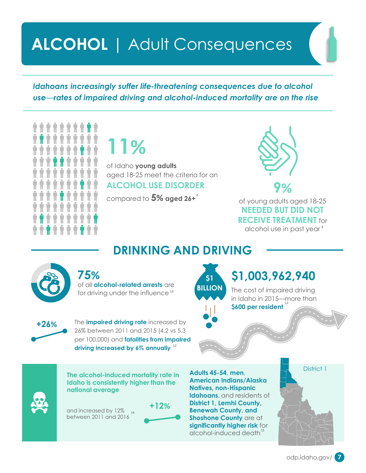### <span id="page-7-0"></span>**ALCOHOL** | Adult Consequences .

*Idahoans increasingly suffer life-threatening consequences due to alcohol use—rates of impaired driving and alcohol-induced mortality are on the rise*

**11%**

of Idaho **young adults** aged 18-25 meet the criteria for an **ALCOHOL USE DISORDER**



compared to **5% aged 26+** <sup>8</sup> compared 18-25 **NEEDED BUT DID NOT RECEIVE TREATMENT** for alcohol use in past year 8



of all **alcohol-related arrests** are for driving under the influence<sup>14</sup>



The **impaired driving rate** increased by 26% between 2011 and 2015 (4.2 vs 5.3 per 100,000) and **fatalities from impaired driving increased by 6% annually** 12

**\$1 BILLION**

**DRINKING AND DRIVING**

### **75% \$1,003,962,940**

The cost of impaired driving in Idaho in 2015—more than **\$600 per resident**



and increased by 12%  $_{\rm{14}}$ between 2011 and 2016



**Adults 45-54**, **men**, **American Indians/Alaska Natives, non-Hispanic Idahoans**, and residents of **District 1, Lemhi County, Benewah County, and Shoshone County** are at **significantly higher risk** for alcohol-induced death 15

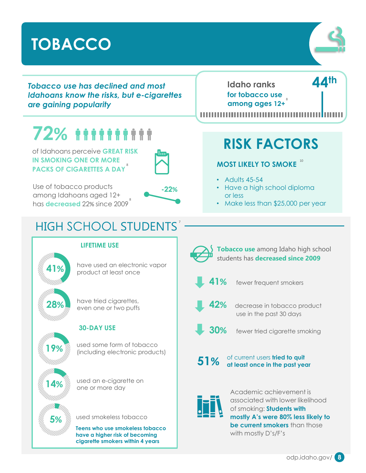### <span id="page-8-0"></span>**TOBACCO** .



*Tobacco use has declined and most Idahoans know the risks, but e-cigarettes are gaining popularity* 

# **72%**

of Idahoans perceive **GREAT RISK IN SMOKING ONE OR MORE PACKS OF CIGARETTES A DAY** 8



Use of tobacco products among Idahoans aged 12+ has **decreased** 22% since 2009 8



7

**Idaho ranks 44th for tobacco use**  8 **among ages 12+**

,,,,,,,,,,,,,,,

### **RISK FACTORS**

**MOST LIKELY TO SMOKE** 10

- Adults  $45-54$
- Have a high school diploma or less
- Make less than \$25,000 per year

### HIGH SCHOOL STUDENTS

#### **LIFETIME USE**

have used an electronic vapor **41%** product at least once

**28%** have tried cigarettes, even one or two puffs

#### **30-DAY USE**

**19%** used some form of tobacco (including electronic products)



**14%** used an e-cigarette on

used smokeless tobacco **5%**

**Teens who use smokeless tobacco have a higher risk of becoming cigarette smokers within 4 years**



**Tobacco use** among Idaho high school students has **decreased since 2009**



**41%** fewer frequent smokers



**42%** decrease in tobacco product use in the past 30 days

**30%** fewer tried cigarette smoking

**51%**

of current users **tried to quit at least once in the past year**



Academic achievement is associated with lower likelihood of smoking: **Students with mostly A's were 80% less likely to be current smokers** than those with mostly D's/F's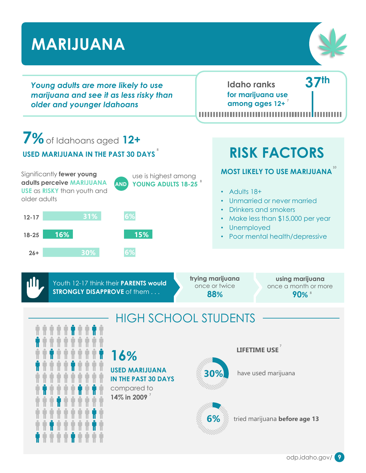#### <span id="page-9-0"></span>**MARIJUANA** . **Idaho ranks 37th** *Young adults are more likely to use marijuana and see it as less risky than*  **for marijuana use among ages 12+** 7 *older and younger Idahoans* **7%**of Idahoans aged **12+ RISK FACTORS USED MARIJUANA IN THE PAST 30 DAYS** 8**MOST LIKELY TO USE MARIJUANA** 10 Significantly **fewer young**  use is highest among **adults perceive MARIJUANA AND YOUNG ADULTS 18-25** 8 **USE** as **RISKY** than youth and • Adults 18+ older adults • Unmarried or never married • Drinkers and smokers **6% 31% 12-17** • Make less than \$15,000 per year • Unemployed **16% 15% 18-25** • Poor mental health/depressive **6% 26+ 30% trying marijuana using marijuana**  Ш Youth 12-17 think their **PARENTS would**  once or twice once a month or more **STRONGLY DISAPPROVE** of them . . . **88% 90%** 8 HIGH SCHOOL STUDENTS **LIFETIME USE** 7 **16% USED MARIJUANA 30%** have used marijuana **IN THE PAST 30 DAYS** compared to **14% in 2009** 7

**6%** tried marijuana **before age 13**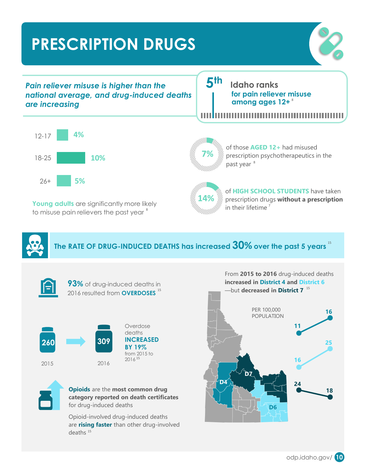## <span id="page-10-0"></span>**PRESCRIPTION DRUGS** .



*Pain reliever misuse is higher than the national average, and drug-induced deaths are increasing*

**5 th Idaho ranks for pain reliever misuse among ages 12+** 8

Ш



Young adults are significantly more likely to misuse pain relievers the past year  $^{\mathrm{s}}$ 



of those **AGED 12+** had misused prescription psychotherapeutics in the past year<sup>8</sup>



of **HIGH SCHOOL STUDENTS** have taken prescription drugs **without a prescription**  in their lifetime<sup>7</sup>

From **2015 to 2016** drug-induced deaths

**The RATE OF DRUG-INDUCED DEATHS has increased 30% over the past 5 years** 15







Overdose deaths **INCREASED BY 19%** from 2015 to 2016 15



**Opioids** are the **most common drug category reported on death certificates**  for drug-induced deaths

Opioid-involved drug-induced deaths are **rising faster** than other drug-involved deaths 15



odp.idaho.gov/ **10**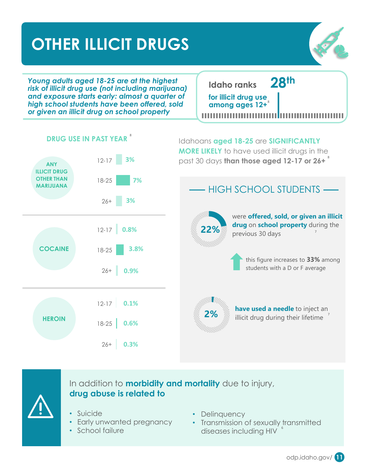### <span id="page-11-0"></span>**OTHER ILLICIT DRUGS**



*Young adults aged 18-25 are at the highest risk of illicit drug use (not including marijuana) and exposure starts early: almost a quarter of high school students have been offered, sold or given an illicit drug on school property* 

**Idaho ranks 28th for illicit drug use among ages 12+** 8



**DRUG USE IN PAST YEAR** 8



In addition to **morbidity and mortality** due to injury, **drug abuse is related to** 

- Suicide
- Early unwanted pregnancy
- School failure
- Delinquency
- Transmission of sexually transmitted diseases including HIV 6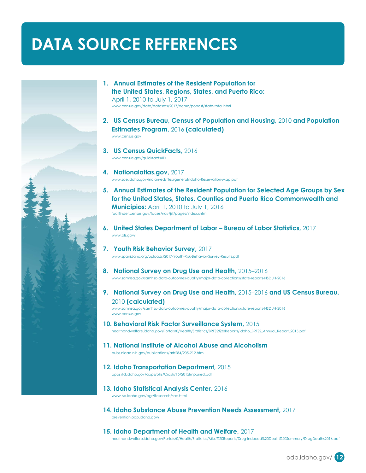### <span id="page-12-0"></span>**DATA SOURCE REFERENCES**



- **1. Annual Estimates of the Resident Population for the United States, Regions, States, and Puerto Rico:** April 1, 2010 to July 1, 2017 <www.census.gov/data/datasets/2017/demo/popest/state-total.html>
- **2. US Census Bureau, Census of Population and Housing,** 2010 **and Population Estimates Program,** 2016 **(calculated)** <www.census.gov>
- **3. US Census QuickFacts,** 2016 <www.census.gov/quickfacts/ID>
- **4. Nationalatlas.gov,** 2017 <www.sde.idaho.gov/indian-ed/files/general/Idaho-Reservation-Map.pdf>
- **5. Annual Estimates of the Resident Population for Selected Age Groups by Sex for the United States, States, Counties and Puerto Rico Commonwealth and Municipios:** April 1, 2010 to July 1, 2016 <factfinder.census.gov/faces/nav/jsf/pages/index.xhtml>
- **6. United States Department of Labor – Bureau of Labor Statistics,** 2017 <www.bls.gov/>
- **7. Youth Risk Behavior Survey,** 2017 <www.spanidaho.org/uploads/2017-Youth-Risk-Behavior-Survey-Results.pdf>
- **8. National Survey on Drug Use and Health,** 2015–2016 <www.samhsa.gov/samhsa-data-outcomes-quality/major-data-collections/state-reports-NSDUH-2016>
- **9. National Survey on Drug Use and Health,** 2015–2016 **and US Census Bureau,** 2010 **(calculated)**

<www.samhsa.gov/samhsa-data-outcomes-quality/major-data-collections/state-reports-NSDUH-2016> <www.census.gov>

**10. Behavioral Risk Factor Surveillance System,** 2015

[healthandwelfare.idaho.gov/Portals/0/Health/Statistics/BRFSS%20Reports/Idaho\\_BRFSS\\_Annual\\_Report\\_2015.pdf](healthandwelfare.idaho.gov/Portals/0/Health/Statistics/BRFSS%20Reports/Idaho_BRFSS_Annual_Report_2015.pdf)

- **11. National Institute of Alcohol Abuse and Alcoholism** <pubs.niaaa.nih.gov/publications/arh284/205-212.htm>
- 
- **12. Idaho Transportation Department,** 2015

<apps.itd.idaho.gov/apps/ohs/Crash/15/2015Impaired.pdf>

- **13. Idaho Statistical Analysis Center,** 2016 <www.isp.idaho.gov/pgr/Research/sac.html>
- **14. Idaho Substance Abuse Prevention Needs Assessment,** 2017 <prevention.odp.idaho.gov/>
- **15. Idaho Department of Health and Welfare,** 2017 <healthandwelfare.idaho.gov/Portals/0/Health/Statistics/Misc%20Reports/Drug-Induced%20Death%20Summary/DrugDeaths2016.pdf>